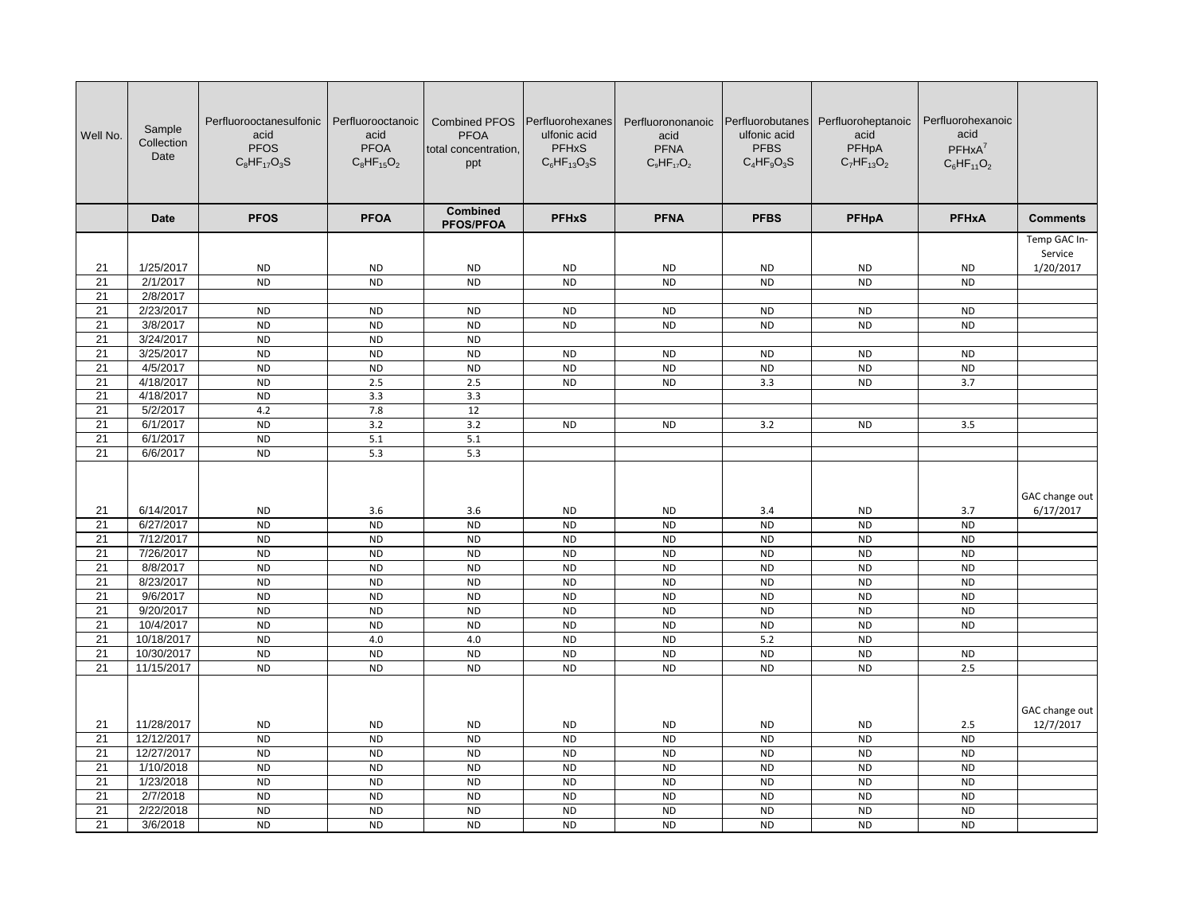| Well No.        | Sample<br>Collection<br>Date | Perfluorooctanesulfonic Perfluorooctanoic<br>acid<br><b>PFOS</b><br>$C_8HF_{17}O_3S$ | acid<br><b>PFOA</b><br>$C_8HF_{15}O_2$ | <b>Combined PFOS</b><br><b>PFOA</b><br>total concentration,<br>ppt | Perfluorohexanes<br>ulfonic acid<br><b>PFHxS</b><br>$C_6HF_{13}O_3S$ | Perfluorononanoic<br>acid<br><b>PFNA</b><br>$C_9HF_{17}O_2$ | Perfluorobutanes<br>ulfonic acid<br><b>PFBS</b><br>$C_4HF_qO_3S$ | Perfluoroheptanoic<br>acid<br>PFHpA<br>$C_7HF_{13}O_2$ | Perfluorohexanoic<br>acid<br>$PFHxA^7$<br>$C_6HF_{11}O_2$ |                 |
|-----------------|------------------------------|--------------------------------------------------------------------------------------|----------------------------------------|--------------------------------------------------------------------|----------------------------------------------------------------------|-------------------------------------------------------------|------------------------------------------------------------------|--------------------------------------------------------|-----------------------------------------------------------|-----------------|
|                 | <b>Date</b>                  | <b>PFOS</b>                                                                          | <b>PFOA</b>                            | <b>Combined</b><br><b>PFOS/PFOA</b>                                | <b>PFHxS</b>                                                         | <b>PFNA</b>                                                 | <b>PFBS</b>                                                      | PFHpA                                                  | <b>PFHxA</b>                                              | <b>Comments</b> |
|                 |                              |                                                                                      |                                        |                                                                    |                                                                      |                                                             |                                                                  |                                                        |                                                           | Temp GAC In-    |
|                 |                              |                                                                                      |                                        |                                                                    |                                                                      |                                                             |                                                                  |                                                        |                                                           | Service         |
| 21              | 1/25/2017                    | <b>ND</b><br><b>ND</b>                                                               | <b>ND</b><br><b>ND</b>                 | <b>ND</b><br><b>ND</b>                                             | <b>ND</b><br><b>ND</b>                                               | <b>ND</b><br><b>ND</b>                                      | <b>ND</b><br><b>ND</b>                                           | <b>ND</b>                                              | <b>ND</b><br><b>ND</b>                                    | 1/20/2017       |
| 21<br>21        | 2/1/2017<br>2/8/2017         |                                                                                      |                                        |                                                                    |                                                                      |                                                             |                                                                  | ND                                                     |                                                           |                 |
| 21              | 2/23/2017                    | $\sf ND$                                                                             | <b>ND</b>                              | <b>ND</b>                                                          | <b>ND</b>                                                            | <b>ND</b>                                                   | <b>ND</b>                                                        | ND                                                     | ND                                                        |                 |
| 21              | 3/8/2017                     | <b>ND</b>                                                                            | <b>ND</b>                              | <b>ND</b>                                                          | <b>ND</b>                                                            | <b>ND</b>                                                   | <b>ND</b>                                                        | ND                                                     | <b>ND</b>                                                 |                 |
| 21              | 3/24/2017                    | <b>ND</b>                                                                            | <b>ND</b>                              | <b>ND</b>                                                          |                                                                      |                                                             |                                                                  |                                                        |                                                           |                 |
| 21              | 3/25/2017                    | <b>ND</b>                                                                            | <b>ND</b>                              | <b>ND</b>                                                          | <b>ND</b>                                                            | <b>ND</b>                                                   | <b>ND</b>                                                        | <b>ND</b>                                              | <b>ND</b>                                                 |                 |
| 21              | 4/5/2017                     | <b>ND</b>                                                                            | <b>ND</b>                              | <b>ND</b>                                                          | <b>ND</b>                                                            | <b>ND</b>                                                   | <b>ND</b>                                                        | <b>ND</b>                                              | $\sf ND$                                                  |                 |
| $\overline{21}$ | 4/18/2017                    | $\overline{ND}$                                                                      | 2.5                                    | 2.5                                                                | <b>ND</b>                                                            | <b>ND</b>                                                   | 3.3                                                              | <b>ND</b>                                              | 3.7                                                       |                 |
| 21              | 4/18/2017                    | <b>ND</b>                                                                            | 3.3                                    | 3.3                                                                |                                                                      |                                                             |                                                                  |                                                        |                                                           |                 |
| 21              | 5/2/2017                     | 4.2                                                                                  | 7.8                                    | 12                                                                 |                                                                      |                                                             |                                                                  |                                                        |                                                           |                 |
| $\overline{21}$ | 6/1/2017                     | <b>ND</b>                                                                            | 3.2                                    | 3.2                                                                | <b>ND</b>                                                            | <b>ND</b>                                                   | 3.2                                                              | <b>ND</b>                                              | 3.5                                                       |                 |
| 21              | 6/1/2017                     | <b>ND</b>                                                                            | 5.1                                    | 5.1                                                                |                                                                      |                                                             |                                                                  |                                                        |                                                           |                 |
| 21              | 6/6/2017                     | <b>ND</b>                                                                            | 5.3                                    | 5.3                                                                |                                                                      |                                                             |                                                                  |                                                        |                                                           |                 |
|                 |                              |                                                                                      |                                        |                                                                    |                                                                      |                                                             |                                                                  |                                                        |                                                           | GAC change out  |
| 21              | 6/14/2017                    | <b>ND</b>                                                                            | 3.6                                    | 3.6                                                                | <b>ND</b>                                                            | <b>ND</b>                                                   | 3.4                                                              | <b>ND</b>                                              | 3.7                                                       | 6/17/2017       |
| 21              | 6/27/2017                    | <b>ND</b>                                                                            | <b>ND</b>                              | <b>ND</b>                                                          | <b>ND</b>                                                            | <b>ND</b>                                                   | <b>ND</b>                                                        | <b>ND</b>                                              | <b>ND</b>                                                 |                 |
| 21              | 7/12/2017                    | <b>ND</b>                                                                            | <b>ND</b>                              | <b>ND</b>                                                          | <b>ND</b>                                                            | <b>ND</b>                                                   | <b>ND</b>                                                        | ND                                                     | $\sf ND$                                                  |                 |
| 21              | 7/26/2017                    | <b>ND</b>                                                                            | <b>ND</b>                              | <b>ND</b>                                                          | <b>ND</b>                                                            | <b>ND</b>                                                   | <b>ND</b>                                                        | <b>ND</b>                                              | <b>ND</b>                                                 |                 |
| 21              | 8/8/2017                     | <b>ND</b>                                                                            | <b>ND</b>                              | <b>ND</b>                                                          | <b>ND</b>                                                            | <b>ND</b>                                                   | <b>ND</b>                                                        | <b>ND</b>                                              | <b>ND</b>                                                 |                 |
| 21              | 8/23/2017                    | <b>ND</b>                                                                            | <b>ND</b>                              | <b>ND</b>                                                          | <b>ND</b>                                                            | <b>ND</b>                                                   | <b>ND</b>                                                        | <b>ND</b>                                              | <b>ND</b>                                                 |                 |
| 21<br>21        | 9/6/2017<br>9/20/2017        | <b>ND</b><br><b>ND</b>                                                               | <b>ND</b><br><b>ND</b>                 | <b>ND</b><br><b>ND</b>                                             | <b>ND</b><br><b>ND</b>                                               | <b>ND</b><br><b>ND</b>                                      | <b>ND</b><br><b>ND</b>                                           | <b>ND</b><br><b>ND</b>                                 | <b>ND</b><br><b>ND</b>                                    |                 |
| 21              | 10/4/2017                    | ND                                                                                   | <b>ND</b>                              | <b>ND</b>                                                          | <b>ND</b>                                                            | <b>ND</b>                                                   | <b>ND</b>                                                        | ND                                                     | ND                                                        |                 |
| 21              | 10/18/2017                   | <b>ND</b>                                                                            | 4.0                                    | 4.0                                                                | <b>ND</b>                                                            | <b>ND</b>                                                   | 5.2                                                              | <b>ND</b>                                              |                                                           |                 |
| 21              | 10/30/2017                   | <b>ND</b>                                                                            | <b>ND</b>                              | <b>ND</b>                                                          | <b>ND</b>                                                            | <b>ND</b>                                                   | <b>ND</b>                                                        | <b>ND</b>                                              | <b>ND</b>                                                 |                 |
| 21              | 11/15/2017                   | <b>ND</b>                                                                            | <b>ND</b>                              | <b>ND</b>                                                          | <b>ND</b>                                                            | <b>ND</b>                                                   | <b>ND</b>                                                        | <b>ND</b>                                              | 2.5                                                       |                 |
|                 |                              |                                                                                      |                                        |                                                                    |                                                                      |                                                             |                                                                  |                                                        |                                                           | GAC change out  |
| 21              | 11/28/2017                   | <b>ND</b>                                                                            | <b>ND</b>                              | <b>ND</b>                                                          | <b>ND</b>                                                            | <b>ND</b>                                                   | <b>ND</b>                                                        | <b>ND</b>                                              | 2.5                                                       | 12/7/2017       |
| $\overline{21}$ | 12/12/2017                   | <b>ND</b>                                                                            | <b>ND</b>                              | <b>ND</b>                                                          | <b>ND</b>                                                            | $\overline{ND}$                                             | <b>ND</b>                                                        | N <sub>D</sub>                                         | <b>ND</b>                                                 |                 |
| 21              | 12/27/2017                   | <b>ND</b>                                                                            | <b>ND</b>                              | <b>ND</b>                                                          | <b>ND</b>                                                            | <b>ND</b>                                                   | <b>ND</b>                                                        | <b>ND</b>                                              | <b>ND</b>                                                 |                 |
| 21              | 1/10/2018                    | <b>ND</b>                                                                            | <b>ND</b>                              | <b>ND</b>                                                          | <b>ND</b>                                                            | <b>ND</b>                                                   | <b>ND</b>                                                        | <b>ND</b>                                              | <b>ND</b>                                                 |                 |
| $\overline{21}$ | 1/23/2018                    | N <sub>D</sub>                                                                       | <b>ND</b>                              | <b>ND</b>                                                          | <b>ND</b>                                                            | <b>ND</b>                                                   | <b>ND</b>                                                        | <b>ND</b>                                              | <b>ND</b>                                                 |                 |
| 21              | 2/7/2018                     | <b>ND</b>                                                                            | <b>ND</b>                              | <b>ND</b>                                                          | <b>ND</b>                                                            | <b>ND</b>                                                   | <b>ND</b>                                                        | <b>ND</b>                                              | $\sf ND$                                                  |                 |
| $\overline{21}$ | 2/22/2018                    | <b>ND</b>                                                                            | <b>ND</b>                              | <b>ND</b>                                                          | <b>ND</b>                                                            | <b>ND</b>                                                   | <b>ND</b>                                                        | <b>ND</b>                                              | <b>ND</b>                                                 |                 |
| 21              | 3/6/2018                     | <b>ND</b>                                                                            | <b>ND</b>                              | <b>ND</b>                                                          | <b>ND</b>                                                            | <b>ND</b>                                                   | <b>ND</b>                                                        | ND                                                     | $\sf ND$                                                  |                 |